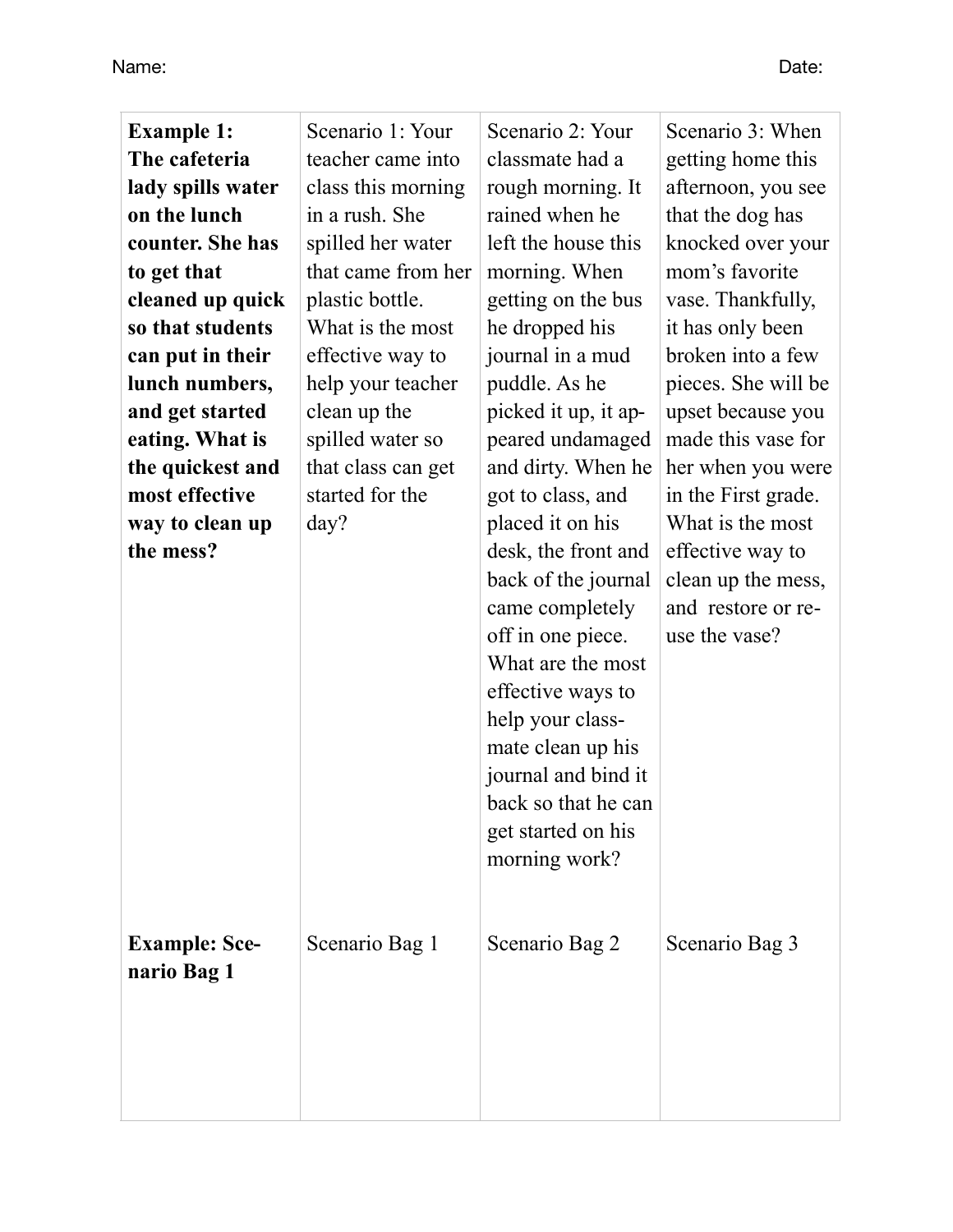Name: Date:

| <b>Example 1:</b><br>The cafeteria  | Scenario 1: Your<br>teacher came into | Scenario 2: Your<br>classmate had a                                                                                                                                                                                                                        | Scenario 3: When<br>getting home this                                         |
|-------------------------------------|---------------------------------------|------------------------------------------------------------------------------------------------------------------------------------------------------------------------------------------------------------------------------------------------------------|-------------------------------------------------------------------------------|
| lady spills water                   | class this morning                    | rough morning. It                                                                                                                                                                                                                                          | afternoon, you see                                                            |
| on the lunch                        | in a rush. She                        | rained when he                                                                                                                                                                                                                                             | that the dog has                                                              |
| counter. She has                    | spilled her water                     | left the house this                                                                                                                                                                                                                                        | knocked over your                                                             |
| to get that                         | that came from her                    | morning. When                                                                                                                                                                                                                                              | mom's favorite                                                                |
| cleaned up quick                    | plastic bottle.                       | getting on the bus                                                                                                                                                                                                                                         | vase. Thankfully,                                                             |
| so that students                    | What is the most                      | he dropped his                                                                                                                                                                                                                                             | it has only been                                                              |
| can put in their                    | effective way to                      | journal in a mud                                                                                                                                                                                                                                           | broken into a few                                                             |
| lunch numbers,                      | help your teacher                     | puddle. As he                                                                                                                                                                                                                                              | pieces. She will be                                                           |
| and get started                     | clean up the                          | picked it up, it ap-                                                                                                                                                                                                                                       | upset because you                                                             |
| eating. What is                     | spilled water so                      | peared undamaged                                                                                                                                                                                                                                           | made this vase for                                                            |
| the quickest and                    | that class can get                    | and dirty. When he                                                                                                                                                                                                                                         | her when you were                                                             |
| most effective                      | started for the                       | got to class, and                                                                                                                                                                                                                                          | in the First grade.                                                           |
| way to clean up                     | day?                                  | placed it on his                                                                                                                                                                                                                                           | What is the most                                                              |
| the mess?                           |                                       | desk, the front and<br>back of the journal<br>came completely<br>off in one piece.<br>What are the most<br>effective ways to<br>help your class-<br>mate clean up his<br>journal and bind it<br>back so that he can<br>get started on his<br>morning work? | effective way to<br>clean up the mess,<br>and restore or re-<br>use the vase? |
| <b>Example: Sce-</b><br>nario Bag 1 | Scenario Bag 1                        | Scenario Bag 2                                                                                                                                                                                                                                             | Scenario Bag 3                                                                |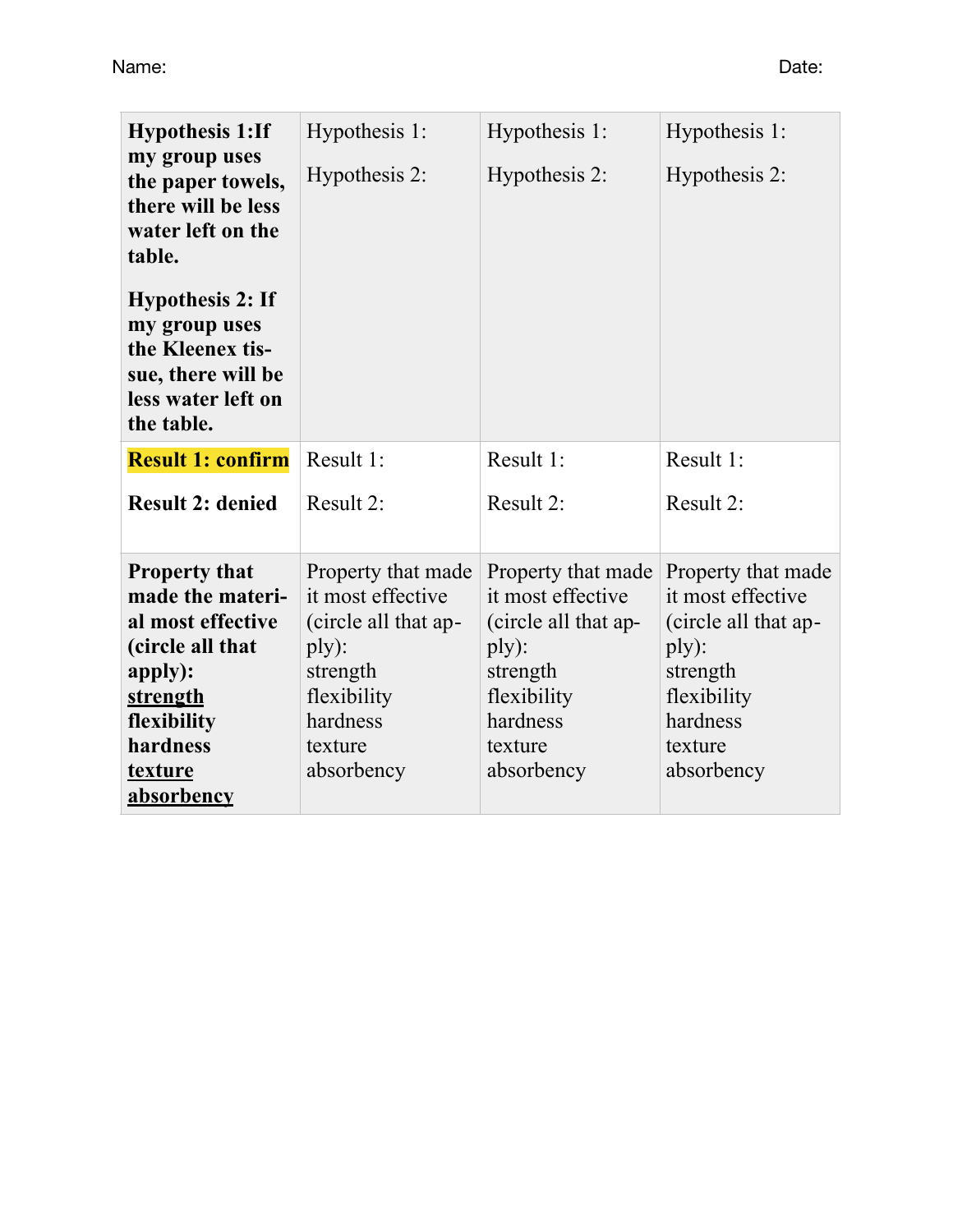| <b>Hypothesis 1:If</b><br>my group uses<br>the paper towels,<br>there will be less<br>water left on the<br>table.<br><b>Hypothesis 2: If</b><br>my group uses<br>the Kleenex tis- | Hypothesis 1:<br>Hypothesis 2:                                                                                                           | Hypothesis 1:<br>Hypothesis 2:                                                                                                           | Hypothesis 1:<br>Hypothesis 2:                                                                                                           |
|-----------------------------------------------------------------------------------------------------------------------------------------------------------------------------------|------------------------------------------------------------------------------------------------------------------------------------------|------------------------------------------------------------------------------------------------------------------------------------------|------------------------------------------------------------------------------------------------------------------------------------------|
| sue, there will be<br>less water left on<br>the table.                                                                                                                            |                                                                                                                                          |                                                                                                                                          |                                                                                                                                          |
| <b>Result 1: confirm</b>                                                                                                                                                          | Result 1:                                                                                                                                | Result 1:                                                                                                                                | Result 1:                                                                                                                                |
| <b>Result 2: denied</b>                                                                                                                                                           | Result 2:                                                                                                                                | Result 2:                                                                                                                                | Result 2:                                                                                                                                |
| <b>Property that</b><br>made the materi-<br>al most effective<br>(circle all that<br>apply):<br>strength<br>flexibility<br>hardness<br>texture                                    | Property that made<br>it most effective<br>(circle all that ap-<br>ply):<br>strength<br>flexibility<br>hardness<br>texture<br>absorbency | Property that made<br>it most effective<br>(circle all that ap-<br>ply):<br>strength<br>flexibility<br>hardness<br>texture<br>absorbency | Property that made<br>it most effective<br>(circle all that ap-<br>ply):<br>strength<br>flexibility<br>hardness<br>texture<br>absorbency |
| absorbency                                                                                                                                                                        |                                                                                                                                          |                                                                                                                                          |                                                                                                                                          |